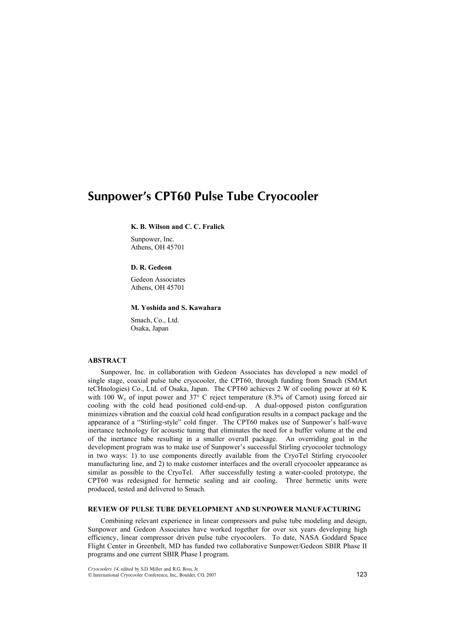# Sunpower's CPT60 Pulse Tube Cryocooler

# **K. B. Wilson and C. C. Fralick**

Sunpower, Inc. Athens, OH 45701

# **D. R. Gedeon**

Gedeon Associates Athens, OH 45701

### **M. Yoshida and S. Kawahara**

Smach, Co., Ltd. Osaka, Japan

#### **ABSTRACT**

Sunpower, Inc. in collaboration with Gedeon Associates has developed a new model of single stage, coaxial pulse tube cryocooler, the CPT60, through funding from Smach (SMArt teCHnologies) Co., Ltd. of Osaka, Japan. The CPT60 achieves 2 W of cooling power at 60 K with 100  $W_e$  of input power and 37° C reject temperature (8.3% of Carnot) using forced air cooling with the cold head positioned cold-end-up. A dual-opposed piston configuration minimizes vibration and the coaxial cold head configuration results in a compact package and the appearance of a "Stirling-style" cold finger. The CPT60 makes use of Sunpower's half-wave inertance technology for acoustic tuning that eliminates the need for a buffer volume at the end of the inertance tube resulting in a smaller overall package. An overriding goal in the development program was to make use of Sunpower's successful Stirling cryocooler technology in two ways: 1) to use components directly available from the CryoTel Stirling cryocooler manufacturing line, and 2) to make customer interfaces and the overall cryocooler appearance as similar as possible to the CryoTel. After successfully testing a water-cooled prototype, the CPT60 was redesigned for hermetic sealing and air cooling. Three hermetic units were produced, tested and delivered to Smach.

# **REVIEW OF PULSE TUBE DEVELOPMENT AND SUNPOWER MANUFACTURING**

Combining relevant experience in linear compressors and pulse tube modeling and design, Sunpower and Gedeon Associates have worked together for over six years developing high efficiency, linear compressor driven pulse tube cryocoolers. To date, NASA Goddard Space Flight Center in Greenbelt, MD has funded two collaborative Sunpower/Gedeon SBIR Phase II programs and one current SBIR Phase I program.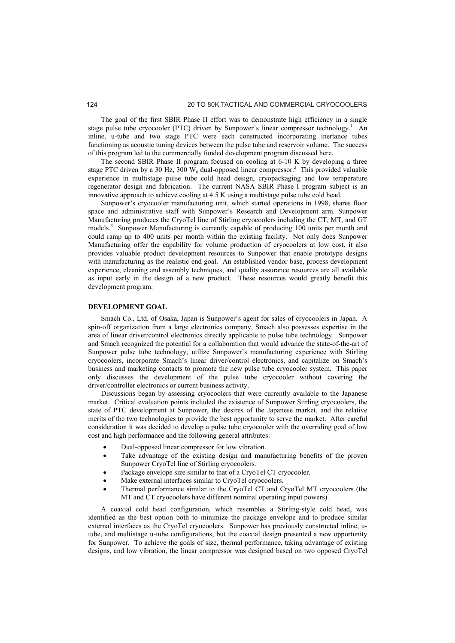The goal of the first SBIR Phase II effort was to demonstrate high efficiency in a single stage pulse tube cryocooler (PTC) driven by Sunpower's linear compressor technology.<sup>1</sup> An inline, u-tube and two stage PTC were each constructed incorporating inertance tubes functioning as acoustic tuning devices between the pulse tube and reservoir volume. The success of this program led to the commercially funded development program discussed here.

The second SBIR Phase II program focused on cooling at 6-10 K by developing a three stage PTC driven by a 30 Hz, 300  $W_e$  dual-opposed linear compressor.<sup>2</sup> This provided valuable experience in multistage pulse tube cold head design, cryopackaging and low temperature regenerator design and fabrication. The current NASA SBIR Phase I program subject is an innovative approach to achieve cooling at 4.5 K using a multistage pulse tube cold head.

Sunpower's cryocooler manufacturing unit, which started operations in 1998, shares floor space and administrative staff with Sunpower's Research and Development arm. Sunpower Manufacturing produces the CryoTel line of Stirling cryocoolers including the CT, MT, and GT models.<sup>3</sup> Sunpower Manufacturing is currently capable of producing 100 units per month and could ramp up to 400 units per month within the existing facility. Not only does Sunpower Manufacturing offer the capability for volume production of cryocoolers at low cost, it also provides valuable product development resources to Sunpower that enable prototype designs with manufacturing as the realistic end goal. An established vendor base, process development experience, cleaning and assembly techniques, and quality assurance resources are all available as input early in the design of a new product. These resources would greatly benefit this development program.

# **DEVELOPMENT GOAL**

Smach Co., Ltd. of Osaka, Japan is Sunpower's agent for sales of cryocoolers in Japan. A spin-off organization from a large electronics company, Smach also possesses expertise in the area of linear driver/control electronics directly applicable to pulse tube technology. Sunpower and Smach recognized the potential for a collaboration that would advance the state-of-the-art of Sunpower pulse tube technology, utilize Sunpower's manufacturing experience with Stirling cryocoolers, incorporate Smach's linear driver/control electronics, and capitalize on Smach's business and marketing contacts to promote the new pulse tube cryocooler system. This paper only discusses the development of the pulse tube cryocooler without covering the driver/controller electronics or current business activity.

Discussions began by assessing cryocoolers that were currently available to the Japanese market. Critical evaluation points included the existence of Sunpower Stirling cryocoolers, the state of PTC development at Sunpower, the desires of the Japanese market, and the relative merits of the two technologies to provide the best opportunity to serve the market. After careful consideration it was decided to develop a pulse tube cryocooler with the overriding goal of low cost and high performance and the following general attributes:

- Dual-opposed linear compressor for low vibration.
- Take advantage of the existing design and manufacturing benefits of the proven Sunpower CryoTel line of Stirling cryocoolers.
- Package envelope size similar to that of a CryoTel CT cryocooler.
- Make external interfaces similar to CryoTel cryocoolers.
- Thermal performance similar to the CryoTel CT and CryoTel MT cryocoolers (the MT and CT cryocoolers have different nominal operating input powers).

A coaxial cold head configuration, which resembles a Stirling-style cold head, was identified as the best option both to minimize the package envelope and to produce similar external interfaces as the CryoTel cryocoolers. Sunpower has previously constructed inline, utube, and multistage u-tube configurations, but the coaxial design presented a new opportunity for Sunpower. To achieve the goals of size, thermal performance, taking advantage of existing designs, and low vibration, the linear compressor was designed based on two opposed CryoTel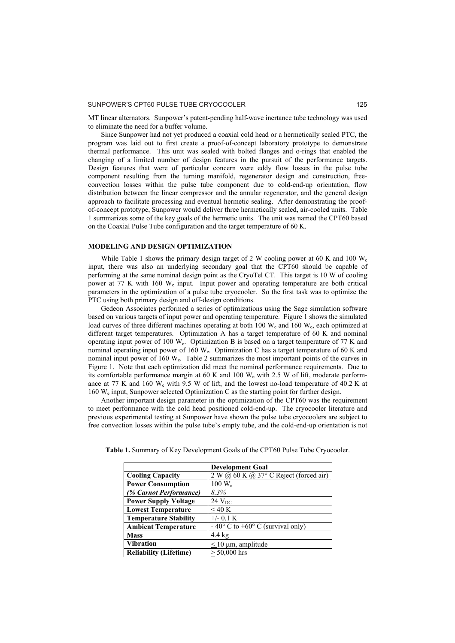MT linear alternators. Sunpower's patent-pending half-wave inertance tube technology was used to eliminate the need for a buffer volume.

Since Sunpower had not yet produced a coaxial cold head or a hermetically sealed PTC, the program was laid out to first create a proof-of-concept laboratory prototype to demonstrate thermal performance. This unit was sealed with bolted flanges and o-rings that enabled the changing of a limited number of design features in the pursuit of the performance targets. Design features that were of particular concern were eddy flow losses in the pulse tube component resulting from the turning manifold, regenerator design and construction, freeconvection losses within the pulse tube component due to cold-end-up orientation, flow distribution between the linear compressor and the annular regenerator, and the general design approach to facilitate processing and eventual hermetic sealing. After demonstrating the proofof-concept prototype, Sunpower would deliver three hermetically sealed, air-cooled units. Table 1 summarizes some of the key goals of the hermetic units. The unit was named the CPT60 based on the Coaxial Pulse Tube configuration and the target temperature of 60 K.

#### **MODELING AND DESIGN OPTIMIZATION**

While Table 1 shows the primary design target of 2 W cooling power at 60 K and 100  $W_e$ input, there was also an underlying secondary goal that the CPT60 should be capable of performing at the same nominal design point as the CryoTel CT. This target is 10 W of cooling power at 77 K with 160 We input. Input power and operating temperature are both critical parameters in the optimization of a pulse tube cryocooler. So the first task was to optimize the PTC using both primary design and off-design conditions.

Gedeon Associates performed a series of optimizations using the Sage simulation software based on various targets of input power and operating temperature. Figure 1 shows the simulated load curves of three different machines operating at both 100 W<sub>e</sub> and 160 W<sub>e</sub>, each optimized at different target temperatures. Optimization A has a target temperature of 60 K and nominal operating input power of 100  $W_e$ . Optimization B is based on a target temperature of 77 K and nominal operating input power of 160 W<sub>e</sub>. Optimization C has a target temperature of 60 K and nominal input power of 160  $W_e$ . Table 2 summarizes the most important points of the curves in Figure 1. Note that each optimization did meet the nominal performance requirements. Due to its comfortable performance margin at 60 K and 100  $W_e$  with 2.5 W of lift, moderate performance at 77 K and 160 W<sub>e</sub> with 9.5 W of lift, and the lowest no-load temperature of 40.2 K at 160 We input, Sunpower selected Optimization C as the starting point for further design.

Another important design parameter in the optimization of the CPT60 was the requirement to meet performance with the cold head positioned cold-end-up. The cryocooler literature and previous experimental testing at Sunpower have shown the pulse tube cryocoolers are subject to free convection losses within the pulse tube's empty tube, and the cold-end-up orientation is not

|                               | <b>Development Goal</b>                            |
|-------------------------------|----------------------------------------------------|
| <b>Cooling Capacity</b>       | $2 W (a) 60 K (a) 37°$ C Reject (forced air)       |
| <b>Power Consumption</b>      | $100 \text{ W}_{\text{e}}$                         |
| (% Carnot Performance)        | $8.3\%$                                            |
| <b>Power Supply Voltage</b>   | $24$ $V_{DC}$                                      |
| <b>Lowest Temperature</b>     | $<$ 40 K                                           |
| <b>Temperature Stability</b>  | $+/-$ 0.1 K                                        |
| <b>Ambient Temperature</b>    | $-40^{\circ}$ C to $+60^{\circ}$ C (survival only) |
| <b>Mass</b>                   | $4.4 \text{ kg}$                                   |
| <b>Vibration</b>              | $\leq 10 \mu m$ , amplitude                        |
| <b>Reliability (Lifetime)</b> | $> 50,000$ hrs                                     |

**Table 1.** Summary of Key Development Goals of the CPT60 Pulse Tube Cryocooler.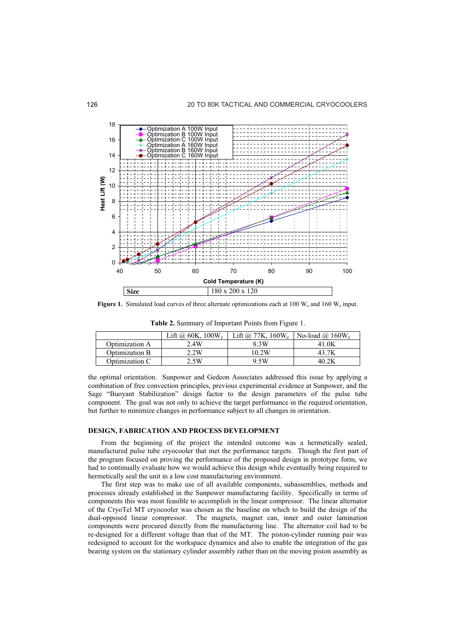

**Figure 1.** Simulated load curves of three alternate optimizations each at 100 W<sub>e</sub> and 160 W<sub>e</sub> input.

|                | Lift @ $60K$ , $100W_e$ | Lift @ 77K, $160W_e$ | No-load @ $160W_e$ |
|----------------|-------------------------|----------------------|--------------------|
| Optimization A | 2.4W                    | 3 3 W                | 41.OK              |
| Optimization B | 2.2W                    | 10.2W                |                    |
| Optimization C | 2.5W                    | 9 5W                 |                    |

**Table 2.** Summary of Important Points from Figure 1.

the optimal orientation. Sunpower and Gedeon Associates addressed this issue by applying a combination of free convection principles, previous experimental evidence at Sunpower, and the Sage "Buoyant Stabilization" design factor to the design parameters of the pulse tube component. The goal was not only to achieve the target performance in the required orientation, but further to minimize changes in performance subject to all changes in orientation.

#### **DESIGN, FABRICATION AND PROCESS DEVELOPMENT**

From the beginning of the project the intended outcome was a hermetically sealed, manufactured pulse tube cryocooler that met the performance targets. Though the first part of the program focused on proving the performance of the proposed design in prototype form, we had to continually evaluate how we would achieve this design while eventually being required to hermetically seal the unit in a low cost manufacturing environment.

The first step was to make use of all available components, subassemblies, methods and processes already established in the Sunpower manufacturing facility. Specifically in terms of components this was most feasible to accomplish in the linear compressor. The linear alternator of the CryoTel MT cryocooler was chosen as the baseline on which to build the design of the dual-opposed linear compressor. The magnets, magnet can, inner and outer lamination components were procured directly from the manufacturing line. The alternator coil had to be re-designed for a different voltage than that of the MT. The piston-cylinder running pair was redesigned to account for the workspace dynamics and also to enable the integration of the gas bearing system on the stationary cylinder assembly rather than on the moving piston assembly as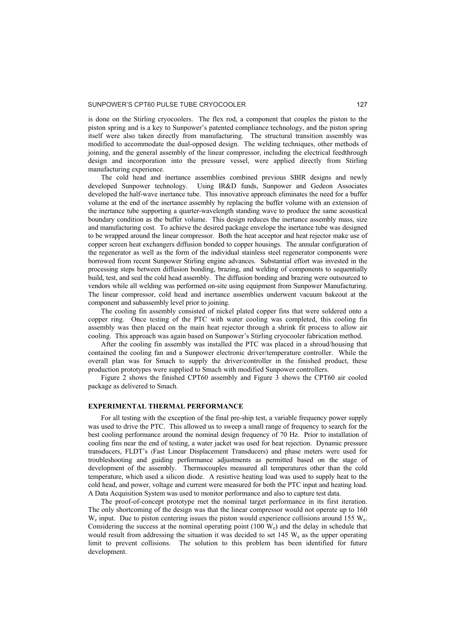is done on the Stirling cryocoolers. The flex rod, a component that couples the piston to the piston spring and is a key to Sunpower's patented compliance technology, and the piston spring itself were also taken directly from manufacturing. The structural transition assembly was modified to accommodate the dual-opposed design. The welding techniques, other methods of joining, and the general assembly of the linear compressor, including the electrical feedthrough design and incorporation into the pressure vessel, were applied directly from Stirling manufacturing experience.

The cold head and inertance assemblies combined previous SBIR designs and newly developed Sunpower technology. Using IR&D funds. Sunpower and Gedeon Associates Using IR&D funds, Sunpower and Gedeon Associates developed the half-wave inertance tube. This innovative approach eliminates the need for a buffer volume at the end of the inertance assembly by replacing the buffer volume with an extension of the inertance tube supporting a quarter-wavelength standing wave to produce the same acoustical boundary condition as the buffer volume. This design reduces the inertance assembly mass, size and manufacturing cost. To achieve the desired package envelope the inertance tube was designed to be wrapped around the linear compressor. Both the heat acceptor and heat rejector make use of copper screen heat exchangers diffusion bonded to copper housings. The annular configuration of the regenerator as well as the form of the individual stainless steel regenerator components were borrowed from recent Sunpower Stirling engine advances. Substantial effort was invested in the processing steps between diffusion bonding, brazing, and welding of components to sequentially build, test, and seal the cold head assembly. The diffusion bonding and brazing were outsourced to vendors while all welding was performed on-site using equipment from Sunpower Manufacturing. The linear compressor, cold head and inertance assemblies underwent vacuum bakeout at the component and subassembly level prior to joining.

The cooling fin assembly consisted of nickel plated copper fins that were soldered onto a copper ring. Once testing of the PTC with water cooling was completed, this cooling fin assembly was then placed on the main heat rejector through a shrink fit process to allow air cooling. This approach was again based on Sunpower's Stirling cryocooler fabrication method.

After the cooling fin assembly was installed the PTC was placed in a shroud/housing that contained the cooling fan and a Sunpower electronic driver/temperature controller. While the overall plan was for Smach to supply the driver/controller in the finished product, these production prototypes were supplied to Smach with modified Sunpower controllers.

Figure 2 shows the finished CPT60 assembly and Figure 3 shows the CPT60 air cooled package as delivered to Smach.

#### **EXPERIMENTAL THERMAL PERFORMANCE**

For all testing with the exception of the final pre-ship test, a variable frequency power supply was used to drive the PTC. This allowed us to sweep a small range of frequency to search for the best cooling performance around the nominal design frequency of 70 Hz. Prior to installation of cooling fins near the end of testing, a water jacket was used for heat rejection. Dynamic pressure transducers, FLDT's (Fast Linear Displacement Transducers) and phase meters were used for troubleshooting and guiding performance adjustments as permitted based on the stage of development of the assembly. Thermocouples measured all temperatures other than the cold temperature, which used a silicon diode. A resistive heating load was used to supply heat to the cold head, and power, voltage and current were measured for both the PTC input and heating load. A Data Acquisition System was used to monitor performance and also to capture test data.

The proof-of-concept prototype met the nominal target performance in its first iteration. The only shortcoming of the design was that the linear compressor would not operate up to 160  $W_e$  input. Due to piston centering issues the piston would experience collisions around 155 W<sub>e</sub>. Considering the success at the nominal operating point  $(100 \text{ W}_e)$  and the delay in schedule that would result from addressing the situation it was decided to set 145  $W_e$  as the upper operating limit to prevent collisions. The solution to this problem has been identified for future development.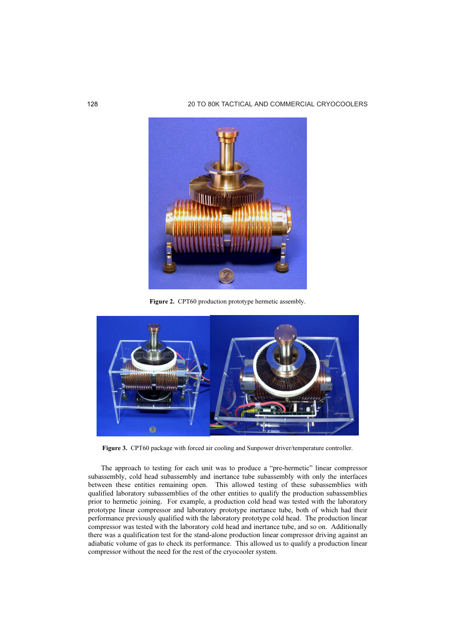

Figure 2. CPT60 production prototype hermetic assembly.



Figure 3. CPT60 package with forced air cooling and Sunpower driver/temperature controller.

The approach to testing for each unit was to produce a "pre-hermetic" linear compressor subassembly, cold head subassembly and inertance tube subassembly with only the interfaces between these entities remaining open. This allowed testing of these subassemblies with qualified laboratory subassemblies of the other entities to qualify the production subassemblies prior to hermetic joining. For example, a production cold head was tested with the laboratory prototype linear compressor and laboratory prototype inertance tube, both of which had their performance previously qualified with the laboratory prototype cold head. The production linear compressor was tested with the laboratory cold head and inertance tube, and so on. Additionally there was a qualification test for the stand-alone production linear compressor driving against an adiabatic volume of gas to check its performance. This allowed us to qualify a production linear compressor without the need for the rest of the cryocooler system.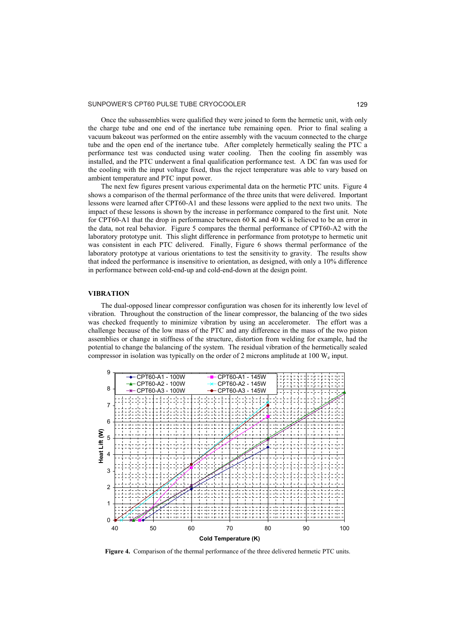Once the subassemblies were qualified they were joined to form the hermetic unit, with only the charge tube and one end of the inertance tube remaining open. Prior to final sealing a vacuum bakeout was performed on the entire assembly with the vacuum connected to the charge tube and the open end of the inertance tube. After completely hermetically sealing the PTC a performance test was conducted using water cooling. Then the cooling fin assembly was installed, and the PTC underwent a final qualification performance test. A DC fan was used for the cooling with the input voltage fixed, thus the reject temperature was able to vary based on ambient temperature and PTC input power.

The next few figures present various experimental data on the hermetic PTC units. Figure 4 shows a comparison of the thermal performance of the three units that were delivered. Important lessons were learned after CPT60-A1 and these lessons were applied to the next two units. The impact of these lessons is shown by the increase in performance compared to the first unit. Note for CPT60-A1 that the drop in performance between 60 K and 40 K is believed to be an error in the data, not real behavior. Figure 5 compares the thermal performance of CPT60-A2 with the laboratory prototype unit. This slight difference in performance from prototype to hermetic unit was consistent in each PTC delivered. Finally, Figure 6 shows thermal performance of the laboratory prototype at various orientations to test the sensitivity to gravity. The results show that indeed the performance is insensitive to orientation, as designed, with only a 10% difference in performance between cold-end-up and cold-end-down at the design point.

#### **VIBRATION**

The dual-opposed linear compressor configuration was chosen for its inherently low level of vibration. Throughout the construction of the linear compressor, the balancing of the two sides was checked frequently to minimize vibration by using an accelerometer. The effort was a challenge because of the low mass of the PTC and any difference in the mass of the two piston assemblies or change in stiffness of the structure, distortion from welding for example, had the potential to change the balancing of the system. The residual vibration of the hermetically sealed compressor in isolation was typically on the order of 2 microns amplitude at 100  $W_e$  input.



**Figure 4.** Comparison of the thermal performance of the three delivered hermetic PTC units.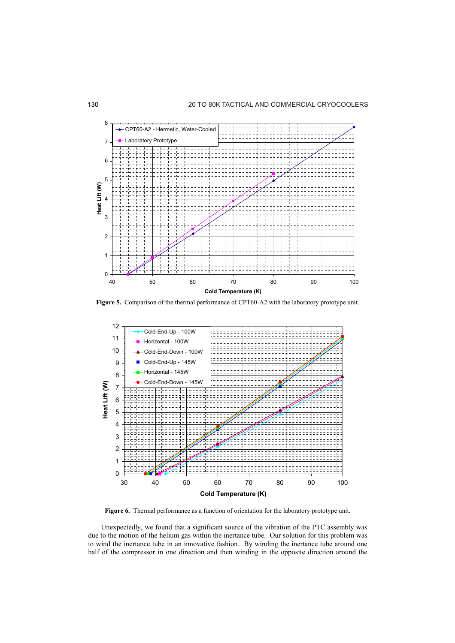

**Figure 5.** Comparison of the thermal performance of CPT60-A2 with the laboratory prototype unit.



**Figure 6.** Thermal performance as a function of orientation for the laboratory prototype unit.

Unexpectedly, we found that a significant source of the vibration of the PTC assembly was due to the motion of the helium gas within the inertance tube. Our solution for this problem was to wind the inertance tube in an innovative fashion. By winding the inertance tube around one half of the compressor in one direction and then winding in the opposite direction around the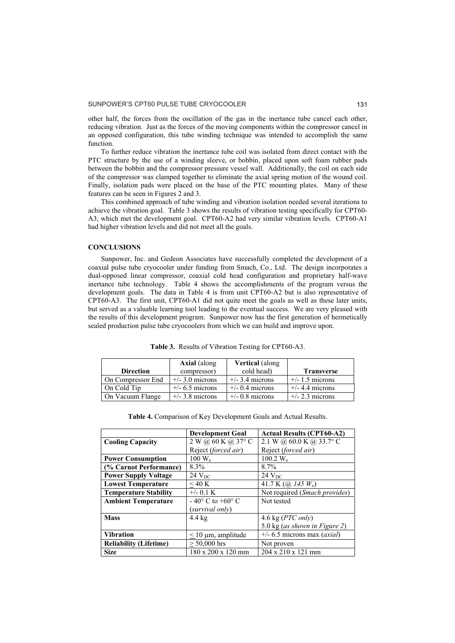other half, the forces from the oscillation of the gas in the inertance tube cancel each other, reducing vibration. Just as the forces of the moving components within the compressor cancel in an opposed configuration, this tube winding technique was intended to accomplish the same function.

To further reduce vibration the inertance tube coil was isolated from direct contact with the PTC structure by the use of a winding sleeve, or bobbin, placed upon soft foam rubber pads between the bobbin and the compressor pressure vessel wall. Additionally, the coil on each side of the compressor was clamped together to eliminate the axial spring motion of the wound coil. Finally, isolation pads were placed on the base of the PTC mounting plates. Many of these features can be seen in Figures 2 and 3.

This combined approach of tube winding and vibration isolation needed several iterations to achieve the vibration goal. Table 3 shows the results of vibration testing specifically for CPT60- A3, which met the development goal. CPT60-A2 had very similar vibration levels. CPT60-A1 had higher vibration levels and did not meet all the goals.

#### **CONCLUSIONS**

Sunpower, Inc. and Gedeon Associates have successfully completed the development of a coaxial pulse tube cryocooler under funding from Smach, Co., Ltd. The design incorporates a dual-opposed linear compressor, coaxial cold head configuration and proprietary half-wave inertance tube technology. Table 4 shows the accomplishments of the program versus the development goals. The data in Table 4 is from unit CPT60-A2 but is also representative of CPT60-A3. The first unit, CPT60-A1 did not quite meet the goals as well as these later units, but served as a valuable learning tool leading to the eventual success. We are very pleased with the results of this development program. Sunpower now has the first generation of hermetically sealed production pulse tube cryocoolers from which we can build and improve upon.

|                   | <b>Axial</b> (along | <b>Vertical</b> (along |                   |
|-------------------|---------------------|------------------------|-------------------|
| <b>Direction</b>  | compressor)         | cold head)             | <b>Transverse</b> |
| On Compressor End | $+/-$ 3.0 microns   | $+/-$ 3.4 microns      | $+/- 1.5$ microns |
| On Cold Tip       | $+/- 6.5$ microns   | $+/-$ 0.4 microns      | $+/- 4.4$ microns |
| On Vacuum Flange  | $+/-$ 3.8 microns   | $+/-$ 0.8 microns      | $+/- 2.3$ microns |

**Table 3.** Results of Vibration Testing for CPT60-A3.

|  |  | Table 4. Comparison of Key Development Goals and Actual Results. |
|--|--|------------------------------------------------------------------|
|  |  |                                                                  |

|                               | <b>Development Goal</b>            | <b>Actual Results (CPT60-A2)</b>                |
|-------------------------------|------------------------------------|-------------------------------------------------|
| <b>Cooling Capacity</b>       | 2 W @ 60 K @ 37° C                 | 2.1 W @ $60.0$ K @ 33.7° C                      |
|                               | Reject (forced air)                | Reject (forced air)                             |
| <b>Power Consumption</b>      | $100 \text{ W}_{\text{e}}$         | 100.2 $W_e$                                     |
| (% Carnot Performance)        | 8.3%                               | 8.7%                                            |
| <b>Power Supply Voltage</b>   | 24 V <sub>DC</sub>                 | 24 $V_{DC}$                                     |
| <b>Lowest Temperature</b>     | $<$ 40 K                           | 41.7 K $\left(\omega\right)$ 145 W <sub>e</sub> |
| <b>Temperature Stability</b>  | $+/-$ 0.1 K                        | Not required (Smach provides)                   |
| <b>Ambient Temperature</b>    | $-40^{\circ}$ C to $+60^{\circ}$ C | Not tested                                      |
|                               | (survival only)                    |                                                 |
| <b>Mass</b>                   | $4.4 \text{ kg}$                   | 4.6 kg $(PTC \text{ only})$                     |
|                               |                                    | 5.0 kg (as shown in Figure 2)                   |
| <b>Vibration</b>              | $\leq$ 10 µm, amplitude            | $+/- 6.5$ microns max (axial)                   |
| <b>Reliability (Lifetime)</b> | $> 50,000$ hrs                     | Not proven                                      |
| <b>Size</b>                   | 180 x 200 x 120 mm                 | 204 x 210 x 121 mm                              |